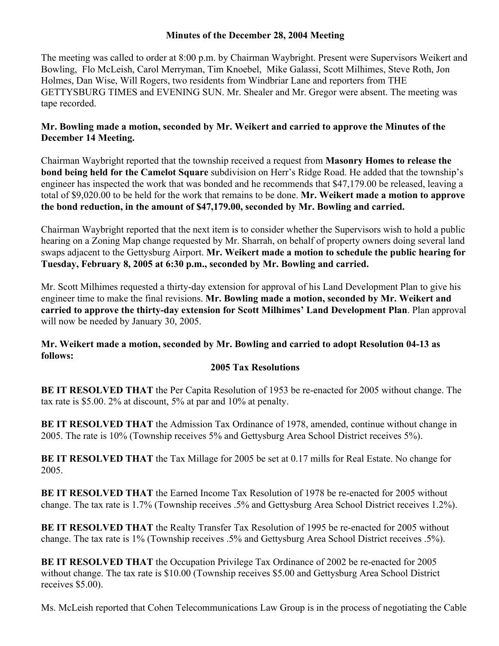## **Minutes of the December 28, 2004 Meeting**

The meeting was called to order at 8:00 p.m. by Chairman Waybright. Present were Supervisors Weikert and Bowling, Flo McLeish, Carol Merryman, Tim Knoebel, Mike Galassi, Scott Milhimes, Steve Roth, Jon Holmes, Dan Wise, Will Rogers, two residents from Windbriar Lane and reporters from THE GETTYSBURG TIMES and EVENING SUN. Mr. Shealer and Mr. Gregor were absent. The meeting was tape recorded.

# **Mr. Bowling made a motion, seconded by Mr. Weikert and carried to approve the Minutes of the December 14 Meeting.**

Chairman Waybright reported that the township received a request from **Masonry Homes to release the bond being held for the Camelot Square** subdivision on Herr's Ridge Road. He added that the township's engineer has inspected the work that was bonded and he recommends that \$47,179.00 be released, leaving a total of \$9,020.00 to be held for the work that remains to be done. **Mr. Weikert made a motion to approve the bond reduction, in the amount of \$47,179.00, seconded by Mr. Bowling and carried.** 

Chairman Waybright reported that the next item is to consider whether the Supervisors wish to hold a public hearing on a Zoning Map change requested by Mr. Sharrah, on behalf of property owners doing several land swaps adjacent to the Gettysburg Airport. **Mr. Weikert made a motion to schedule the public hearing for Tuesday, February 8, 2005 at 6:30 p.m., seconded by Mr. Bowling and carried.**

Mr. Scott Milhimes requested a thirty-day extension for approval of his Land Development Plan to give his engineer time to make the final revisions. **Mr. Bowling made a motion, seconded by Mr. Weikert and carried to approve the thirty-day extension for Scott Milhimes' Land Development Plan**. Plan approval will now be needed by January 30, 2005.

## **Mr. Weikert made a motion, seconded by Mr. Bowling and carried to adopt Resolution 04-13 as follows:**

## **2005 Tax Resolutions**

**BE IT RESOLVED THAT** the Per Capita Resolution of 1953 be re-enacted for 2005 without change. The tax rate is \$5.00. 2% at discount, 5% at par and 10% at penalty.

**BE IT RESOLVED THAT** the Admission Tax Ordinance of 1978, amended, continue without change in 2005. The rate is 10% (Township receives 5% and Gettysburg Area School District receives 5%).

**BE IT RESOLVED THAT** the Tax Millage for 2005 be set at 0.17 mills for Real Estate. No change for 2005.

**BE IT RESOLVED THAT** the Earned Income Tax Resolution of 1978 be re-enacted for 2005 without change. The tax rate is 1.7% (Township receives .5% and Gettysburg Area School District receives 1.2%).

**BE IT RESOLVED THAT** the Realty Transfer Tax Resolution of 1995 be re-enacted for 2005 without change. The tax rate is 1% (Township receives .5% and Gettysburg Area School District receives .5%).

**BE IT RESOLVED THAT** the Occupation Privilege Tax Ordinance of 2002 be re-enacted for 2005 without change. The tax rate is \$10.00 (Township receives \$5.00 and Gettysburg Area School District receives \$5.00).

Ms. McLeish reported that Cohen Telecommunications Law Group is in the process of negotiating the Cable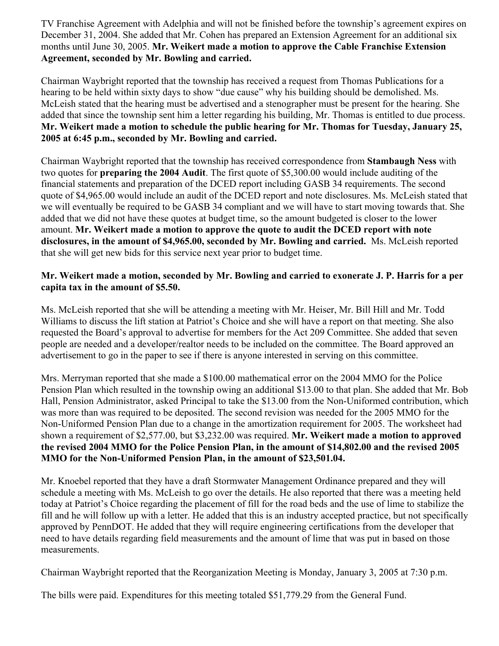TV Franchise Agreement with Adelphia and will not be finished before the township's agreement expires on December 31, 2004. She added that Mr. Cohen has prepared an Extension Agreement for an additional six months until June 30, 2005. **Mr. Weikert made a motion to approve the Cable Franchise Extension Agreement, seconded by Mr. Bowling and carried.**

Chairman Waybright reported that the township has received a request from Thomas Publications for a hearing to be held within sixty days to show "due cause" why his building should be demolished. Ms. McLeish stated that the hearing must be advertised and a stenographer must be present for the hearing. She added that since the township sent him a letter regarding his building, Mr. Thomas is entitled to due process. **Mr. Weikert made a motion to schedule the public hearing for Mr. Thomas for Tuesday, January 25, 2005 at 6:45 p.m., seconded by Mr. Bowling and carried.**

Chairman Waybright reported that the township has received correspondence from **Stambaugh Ness** with two quotes for **preparing the 2004 Audit**. The first quote of \$5,300.00 would include auditing of the financial statements and preparation of the DCED report including GASB 34 requirements. The second quote of \$4,965.00 would include an audit of the DCED report and note disclosures. Ms. McLeish stated that we will eventually be required to be GASB 34 compliant and we will have to start moving towards that. She added that we did not have these quotes at budget time, so the amount budgeted is closer to the lower amount. **Mr. Weikert made a motion to approve the quote to audit the DCED report with note disclosures, in the amount of \$4,965.00, seconded by Mr. Bowling and carried.** Ms. McLeish reported that she will get new bids for this service next year prior to budget time.

# **Mr. Weikert made a motion, seconded by Mr. Bowling and carried to exonerate J. P. Harris for a per capita tax in the amount of \$5.50.**

Ms. McLeish reported that she will be attending a meeting with Mr. Heiser, Mr. Bill Hill and Mr. Todd Williams to discuss the lift station at Patriot's Choice and she will have a report on that meeting. She also requested the Board's approval to advertise for members for the Act 209 Committee. She added that seven people are needed and a developer/realtor needs to be included on the committee. The Board approved an advertisement to go in the paper to see if there is anyone interested in serving on this committee.

Mrs. Merryman reported that she made a \$100.00 mathematical error on the 2004 MMO for the Police Pension Plan which resulted in the township owing an additional \$13.00 to that plan. She added that Mr. Bob Hall, Pension Administrator, asked Principal to take the \$13.00 from the Non-Uniformed contribution, which was more than was required to be deposited. The second revision was needed for the 2005 MMO for the Non-Uniformed Pension Plan due to a change in the amortization requirement for 2005. The worksheet had shown a requirement of \$2,577.00, but \$3,232.00 was required. **Mr. Weikert made a motion to approved the revised 2004 MMO for the Police Pension Plan, in the amount of \$14,802.00 and the revised 2005 MMO for the Non-Uniformed Pension Plan, in the amount of \$23,501.04.**

Mr. Knoebel reported that they have a draft Stormwater Management Ordinance prepared and they will schedule a meeting with Ms. McLeish to go over the details. He also reported that there was a meeting held today at Patriot's Choice regarding the placement of fill for the road beds and the use of lime to stabilize the fill and he will follow up with a letter. He added that this is an industry accepted practice, but not specifically approved by PennDOT. He added that they will require engineering certifications from the developer that need to have details regarding field measurements and the amount of lime that was put in based on those measurements.

Chairman Waybright reported that the Reorganization Meeting is Monday, January 3, 2005 at 7:30 p.m.

The bills were paid. Expenditures for this meeting totaled \$51,779.29 from the General Fund.